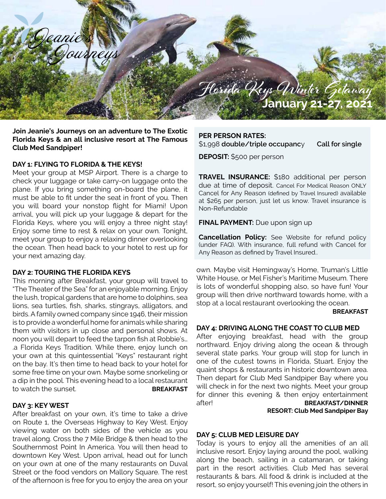

**Join Jeanie's Journeys on an adventure to The Exotic Florida Keys & an all inclusive resort at The Famous Club Med Sandpiper!** 

# **DAY 1: FLYING TO FLORIDA & THE KEYS!**

Meet your group at MSP Airport. There is a charge to check your luggage or take carry-on luggage onto the plane. If you bring something on-board the plane, it must be able to fit under the seat in front of you. Then you will board your nonstop flight for Miami! Upon arrival, you will pick up your luggage & depart for the Florida Keys, where you will enjoy a three night stay! Enjoy some time to rest & relax on your own. Tonight, meet your group to enjoy a relaxing dinner overlooking the ocean. Then head back to your hotel to rest up for your next amazing day.

### **DAY 2: TOURING THE FLORIDA KEYS**

This morning after Breakfast, your group will travel to "The Theater of the Sea" for an enjoyable morning. Enjoy the lush, tropical gardens that are home to dolphins, sea lions, sea turtles, fish, sharks, stingrays, alligators, and birds. A family owned company since 1946, their mission is to provide a wonderful home for animals while sharing them with visitors in up close and personal shows. At noon you will depart to feed the tarpon fish at Robbie's… .a Florida Keys Tradition. While there, enjoy lunch on your own at this quintessential "Keys" restaurant right on the bay. It's then time to head back to your hotel for some free time on your own. Maybe some snorkeling or a dip in the pool. This evening head to a local restaurant to watch the sunset. **BREAKFAST**

### **DAY 3: KEY WEST**

After breakfast on your own, it's time to take a drive on Route 1, the Overseas Highway to Key West. Enjoy viewing water on both sides of the vehicle as you travel along. Cross the 7 Mile Bridge & then head to the Southernmost Point In America. You will then head to downtown Key West. Upon arrival, head out for lunch on your own at one of the many restaurants on Duval Street or the food vendors on Mallory Square. The rest of the afternoon is free for you to enjoy the area on your

**PER PERSON RATES:** \$1,998 **double/triple occupanc**y **Call for single**

**DEPOSIT:** \$500 per person

**TRAVEL INSURANCE:** \$180 additional per person due at time of deposit. Cancel For Medical Reason ONLY Cancel for Any Reason (defined by Travel Insured) available at \$265 per person, just let us know. Travel insurance is Non-Refundable

**FINAL PAYMENT:** Due upon sign up

**Cancellation Policy:** See Website for refund policy (under FAQ). With insurance, full refund with Cancel for Any Reason as defined by Travel Insured..

own. Maybe visit Hemingway's Home, Truman's Little White House, or Mel Fisher's Maritime Museum. There is lots of wonderful shopping also, so have fun! Your group will then drive northward towards home, with a stop at a local restaurant overlooking the ocean.

#### **BREAKFAST**

### **DAY 4: DRIVING ALONG THE COAST TO CLUB MED**

After enjoying breakfast, head with the group northward. Enjoy driving along the ocean & through several state parks. Your group will stop for lunch in one of the cutest towns in Florida, Stuart. Enjoy the quaint shops & restaurants in historic downtown area. Then depart for Club Med Sandpiper Bay where you will check in for the next two nights. Meet your group for dinner this evening & then enjoy entertainment after! **BREAKFAST/DINNER RESORT: Club Med Sandpiper Bay** 

### **DAY 5: CLUB MED LEISURE DAY**

Today is yours to enjoy all the amenities of an all inclusive resort. Enjoy laying around the pool, walking along the beach, sailing in a catamaran, or taking part in the resort activities. Club Med has several restaurants & bars. All food & drink is included at the resort, so enjoy yourself! This evening join the others in